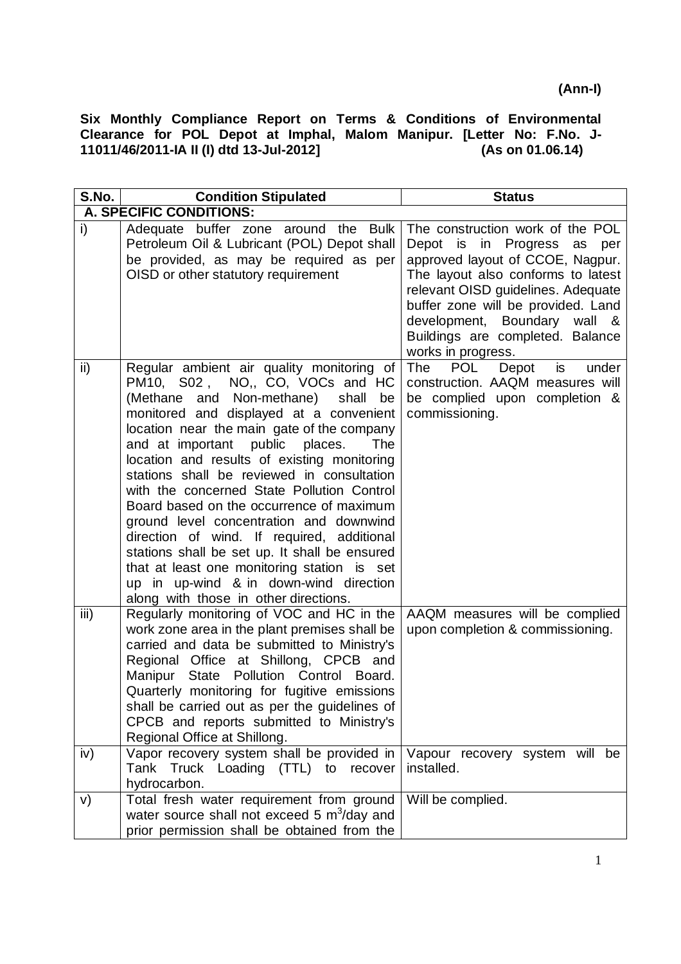| S.No.                     | <b>Condition Stipulated</b>                                                                                                                                                                                                                                                                                                                                                                                                                                                                                                                                                                                                                                                                                                       | <b>Status</b>                                                                                                                                                                                                                                                                                                   |
|---------------------------|-----------------------------------------------------------------------------------------------------------------------------------------------------------------------------------------------------------------------------------------------------------------------------------------------------------------------------------------------------------------------------------------------------------------------------------------------------------------------------------------------------------------------------------------------------------------------------------------------------------------------------------------------------------------------------------------------------------------------------------|-----------------------------------------------------------------------------------------------------------------------------------------------------------------------------------------------------------------------------------------------------------------------------------------------------------------|
|                           | A. SPECIFIC CONDITIONS:                                                                                                                                                                                                                                                                                                                                                                                                                                                                                                                                                                                                                                                                                                           |                                                                                                                                                                                                                                                                                                                 |
| i)                        | Adequate buffer zone around the Bulk<br>Petroleum Oil & Lubricant (POL) Depot shall<br>be provided, as may be required as per<br>OISD or other statutory requirement                                                                                                                                                                                                                                                                                                                                                                                                                                                                                                                                                              | The construction work of the POL<br>Depot is in Progress as per<br>approved layout of CCOE, Nagpur.<br>The layout also conforms to latest<br>relevant OISD guidelines. Adequate<br>buffer zone will be provided. Land<br>development, Boundary wall &<br>Buildings are completed. Balance<br>works in progress. |
| ii)                       | Regular ambient air quality monitoring of<br>PM10, S02, NO,, CO, VOCs and HC<br>(Methane<br>and Non-methane)<br>shall<br>be<br>monitored and displayed at a convenient<br>location near the main gate of the company<br>and at important public places.<br>The<br>location and results of existing monitoring<br>stations shall be reviewed in consultation<br>with the concerned State Pollution Control<br>Board based on the occurrence of maximum<br>ground level concentration and downwind<br>direction of wind. If required, additional<br>stations shall be set up. It shall be ensured<br>that at least one monitoring station is set<br>up in up-wind & in down-wind direction<br>along with those in other directions. | POL<br>The<br>Depot<br>is<br>under<br>construction. AAQM measures will<br>be complied upon completion &<br>commissioning.                                                                                                                                                                                       |
| $\overline{\mathsf{iii}}$ | Regularly monitoring of VOC and HC in the<br>work zone area in the plant premises shall be<br>carried and data be submitted to Ministry's<br>Regional Office at Shillong, CPCB and<br>Manipur State Pollution Control Board.<br>Quarterly monitoring for fugitive emissions<br>shall be carried out as per the guidelines of<br>CPCB and reports submitted to Ministry's<br>Regional Office at Shillong.                                                                                                                                                                                                                                                                                                                          | AAQM measures will be complied<br>upon completion & commissioning.                                                                                                                                                                                                                                              |
| iv)                       | Vapor recovery system shall be provided in<br>Tank Truck Loading (TTL) to<br>recover<br>hydrocarbon.                                                                                                                                                                                                                                                                                                                                                                                                                                                                                                                                                                                                                              | Vapour recovery system will be<br>installed.                                                                                                                                                                                                                                                                    |
| V)                        | Total fresh water requirement from ground<br>water source shall not exceed 5 $m^3$ /day and<br>prior permission shall be obtained from the                                                                                                                                                                                                                                                                                                                                                                                                                                                                                                                                                                                        | Will be complied.                                                                                                                                                                                                                                                                                               |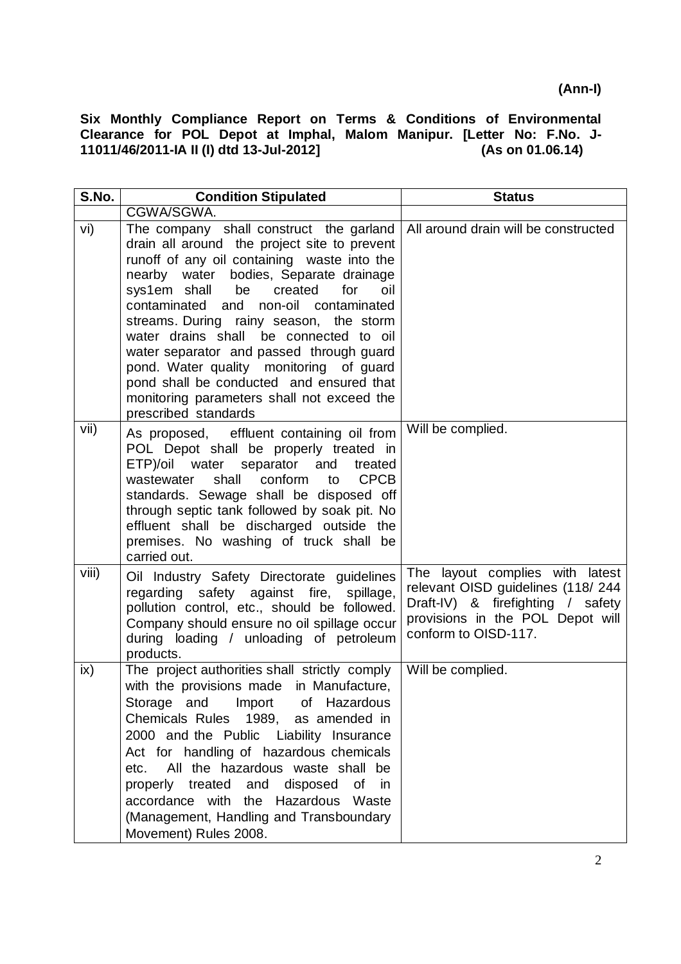| S.No. | <b>Condition Stipulated</b>                                                                                                                                                                                                                                                                                                                                                                                                                                                                                                                                         | <b>Status</b>                                                                                                                                                         |
|-------|---------------------------------------------------------------------------------------------------------------------------------------------------------------------------------------------------------------------------------------------------------------------------------------------------------------------------------------------------------------------------------------------------------------------------------------------------------------------------------------------------------------------------------------------------------------------|-----------------------------------------------------------------------------------------------------------------------------------------------------------------------|
|       | CGWA/SGWA.                                                                                                                                                                                                                                                                                                                                                                                                                                                                                                                                                          |                                                                                                                                                                       |
| vi)   | The company shall construct the garland<br>drain all around the project site to prevent<br>runoff of any oil containing waste into the<br>nearby water bodies, Separate drainage<br>sys1em shall be<br>created<br>for<br>oil<br>contaminated and non-oil contaminated<br>streams. During rainy season, the storm<br>water drains shall be connected to oil<br>water separator and passed through guard<br>pond. Water quality monitoring of guard<br>pond shall be conducted and ensured that<br>monitoring parameters shall not exceed the<br>prescribed standards | All around drain will be constructed                                                                                                                                  |
| vii)  | As proposed, effluent containing oil from<br>POL Depot shall be properly treated in<br>ETP)/oil water separator and<br>treated<br>shall<br>conform<br><b>CPCB</b><br>wastewater<br>to<br>standards. Sewage shall be disposed off<br>through septic tank followed by soak pit. No<br>effluent shall be discharged outside the<br>premises. No washing of truck shall be<br>carried out.                                                                                                                                                                              | Will be complied.                                                                                                                                                     |
| viii) | Oil Industry Safety Directorate guidelines<br>regarding safety against fire, spillage,<br>pollution control, etc., should be followed.<br>Company should ensure no oil spillage occur<br>during loading / unloading of petroleum<br>products.                                                                                                                                                                                                                                                                                                                       | The layout complies with latest<br>relevant OISD guidelines (118/244<br>Draft-IV) & firefighting / safety<br>provisions in the POL Depot will<br>conform to OISD-117. |
| ix)   | The project authorities shall strictly comply<br>with the provisions made in Manufacture,<br>Storage and Import of Hazardous<br>Chemicals Rules 1989, as amended in<br>2000 and the Public Liability Insurance<br>Act for handling of hazardous chemicals<br>All the hazardous waste shall be<br>etc.<br>properly treated and disposed of in<br>accordance with the Hazardous Waste<br>(Management, Handling and Transboundary<br>Movement) Rules 2008.                                                                                                             | Will be complied.                                                                                                                                                     |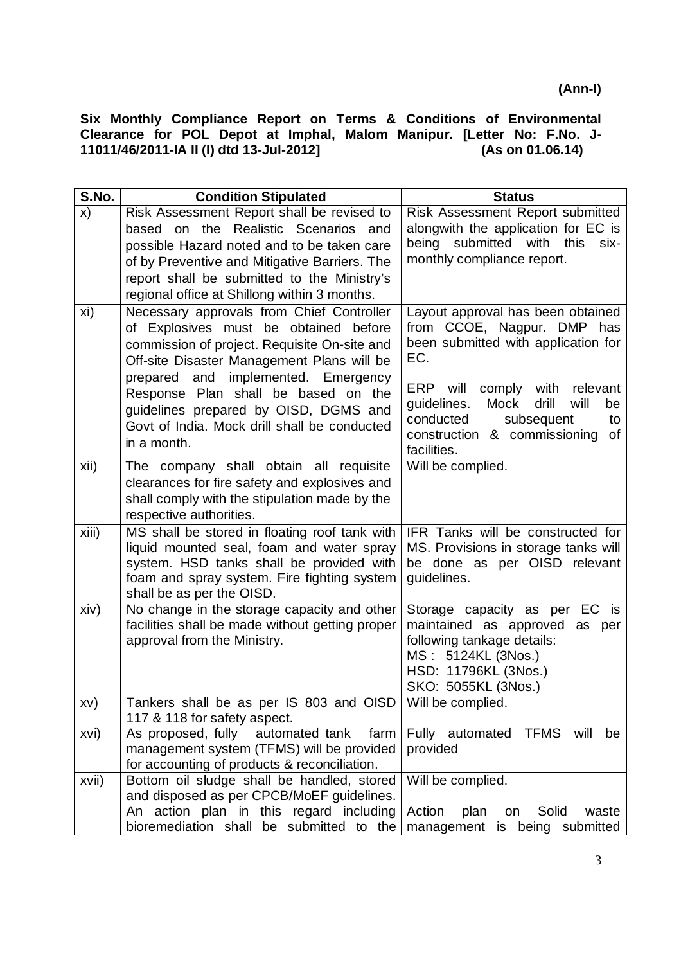| S.No. | <b>Condition Stipulated</b>                                                                                                                                                                                        | <b>Status</b>                                                                                                                                                              |
|-------|--------------------------------------------------------------------------------------------------------------------------------------------------------------------------------------------------------------------|----------------------------------------------------------------------------------------------------------------------------------------------------------------------------|
| x)    | Risk Assessment Report shall be revised to                                                                                                                                                                         | Risk Assessment Report submitted                                                                                                                                           |
|       | based on the Realistic Scenarios and                                                                                                                                                                               | alongwith the application for EC is                                                                                                                                        |
|       | possible Hazard noted and to be taken care                                                                                                                                                                         | being submitted<br>with<br>this<br>six-                                                                                                                                    |
|       | of by Preventive and Mitigative Barriers. The                                                                                                                                                                      | monthly compliance report.                                                                                                                                                 |
|       | report shall be submitted to the Ministry's                                                                                                                                                                        |                                                                                                                                                                            |
|       | regional office at Shillong within 3 months.                                                                                                                                                                       |                                                                                                                                                                            |
| xi)   | Necessary approvals from Chief Controller<br>of Explosives must be obtained<br>before<br>commission of project. Requisite On-site and<br>Off-site Disaster Management Plans will be                                | Layout approval has been obtained<br>from CCOE, Nagpur. DMP has<br>been submitted with application for<br>EC.                                                              |
|       | prepared and implemented. Emergency<br>Response Plan shall be based on the<br>guidelines prepared by OISD, DGMS and<br>Govt of India. Mock drill shall be conducted<br>in a month.                                 | comply with<br>ERP<br>will<br>relevant<br>guidelines.<br>Mock<br>drill<br>will<br>be<br>conducted<br>subsequent<br>to<br>construction & commissioning<br>of<br>facilities. |
| xii)  | The company shall obtain all requisite<br>clearances for fire safety and explosives and<br>shall comply with the stipulation made by the<br>respective authorities.                                                | Will be complied.                                                                                                                                                          |
| xiii) | MS shall be stored in floating roof tank with<br>liquid mounted seal, foam and water spray<br>system. HSD tanks shall be provided with<br>foam and spray system. Fire fighting system<br>shall be as per the OISD. | IFR Tanks will be constructed for<br>MS. Provisions in storage tanks will<br>be done as per OISD relevant<br>guidelines.                                                   |
| xiv)  | No change in the storage capacity and other<br>facilities shall be made without getting proper<br>approval from the Ministry.                                                                                      | Storage capacity as per EC is<br>maintained as approved as per<br>following tankage details:<br>MS: 5124KL (3Nos.)<br>HSD: 11796KL (3Nos.)<br>SKO: 5055KL (3Nos.)          |
| XV)   | Tankers shall be as per IS 803 and OISD Will be complied.<br>117 & 118 for safety aspect.                                                                                                                          |                                                                                                                                                                            |
| xvi)  | automated tank<br>As proposed, fully<br>farm<br>management system (TFMS) will be provided<br>for accounting of products & reconciliation.                                                                          | Fully automated TFMS<br>will<br>be<br>provided                                                                                                                             |
| xvii) | Bottom oil sludge shall be handled, stored<br>and disposed as per CPCB/MoEF guidelines.<br>An action plan in this regard including                                                                                 | Will be complied.<br>Action<br>plan<br>Solid<br>on<br>waste                                                                                                                |
|       | bioremediation shall be submitted to the                                                                                                                                                                           | management is being submitted                                                                                                                                              |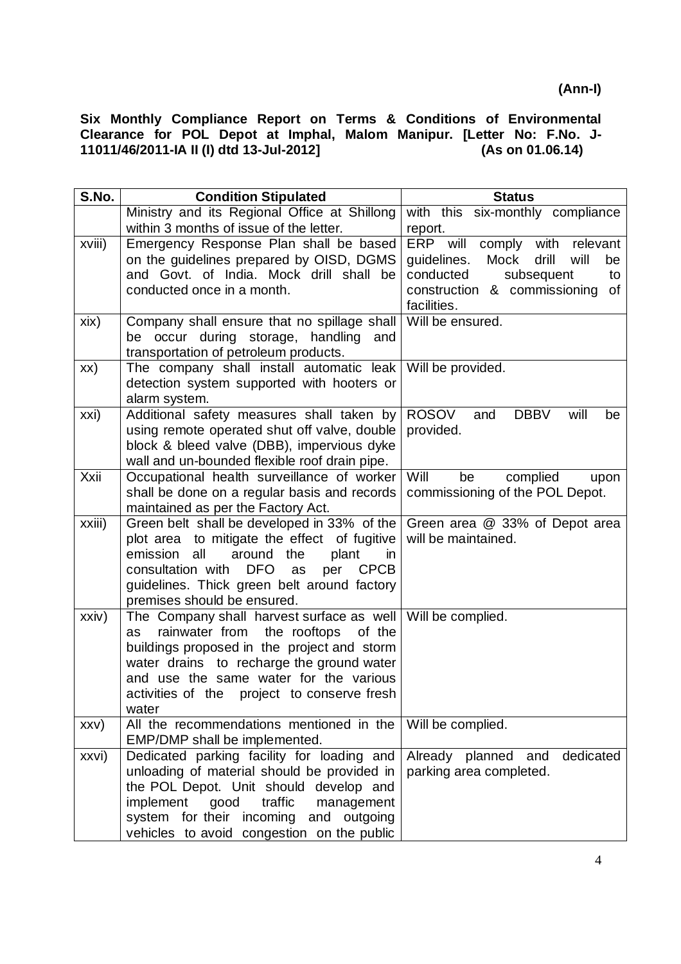| S.No.  | <b>Condition Stipulated</b>                                                       | <b>Status</b>                              |
|--------|-----------------------------------------------------------------------------------|--------------------------------------------|
|        | Ministry and its Regional Office at Shillong                                      | with this six-monthly compliance           |
|        | within 3 months of issue of the letter.                                           | report.                                    |
| xviii) | Emergency Response Plan shall be based                                            | ERP will<br>comply with<br>relevant        |
|        | on the guidelines prepared by OISD, DGMS                                          | guidelines.<br>Mock<br>drill<br>will<br>be |
|        | and Govt. of India. Mock drill shall be                                           | conducted<br>subsequent<br>to              |
|        | conducted once in a month.                                                        | construction & commissioning<br>of         |
|        |                                                                                   | facilities.                                |
| xix)   | Company shall ensure that no spillage shall                                       | Will be ensured.                           |
|        | be occur during storage, handling<br>and                                          |                                            |
|        | transportation of petroleum products.<br>The company shall install automatic leak | Will be provided.                          |
| XX)    | detection system supported with hooters or                                        |                                            |
|        | alarm system.                                                                     |                                            |
| xxi)   | Additional safety measures shall taken by                                         | ROSOV<br><b>DBBV</b><br>and<br>will<br>be  |
|        | using remote operated shut off valve, double                                      | provided.                                  |
|        | block & bleed valve (DBB), impervious dyke                                        |                                            |
|        | wall and un-bounded flexible roof drain pipe.                                     |                                            |
| Xxii   | Occupational health surveillance of worker                                        | Will<br>be<br>complied<br>upon             |
|        | shall be done on a regular basis and records                                      | commissioning of the POL Depot.            |
|        | maintained as per the Factory Act.                                                |                                            |
| xxiii) | Green belt shall be developed in 33% of the                                       | Green area @ 33% of Depot area             |
|        | plot area to mitigate the effect of fugitive                                      | will be maintained.                        |
|        | emission<br>all<br>around<br>the<br>plant<br>in                                   |                                            |
|        | consultation with<br><b>DFO</b><br>per<br><b>CPCB</b><br>as                       |                                            |
|        | guidelines. Thick green belt around factory<br>premises should be ensured.        |                                            |
| xxiv)  | The Company shall harvest surface as well   Will be complied.                     |                                            |
|        | rainwater from<br>the rooftops<br>of the<br>as                                    |                                            |
|        | buildings proposed in the project and storm                                       |                                            |
|        | water drains to recharge the ground water                                         |                                            |
|        | and use the same water for the various                                            |                                            |
|        | activities of the project to conserve fresh                                       |                                            |
|        | water                                                                             |                                            |
| XXV)   | All the recommendations mentioned in the                                          | Will be complied.                          |
|        | EMP/DMP shall be implemented.                                                     |                                            |
| xxvi)  | Dedicated parking facility for loading and                                        | dedicated<br>Already planned and           |
|        | unloading of material should be provided in                                       | parking area completed.                    |
|        | the POL Depot. Unit should develop and                                            |                                            |
|        | traffic<br>implement<br>good<br>management<br>system for their incoming           |                                            |
|        | and outgoing                                                                      |                                            |
|        | vehicles to avoid congestion on the public                                        |                                            |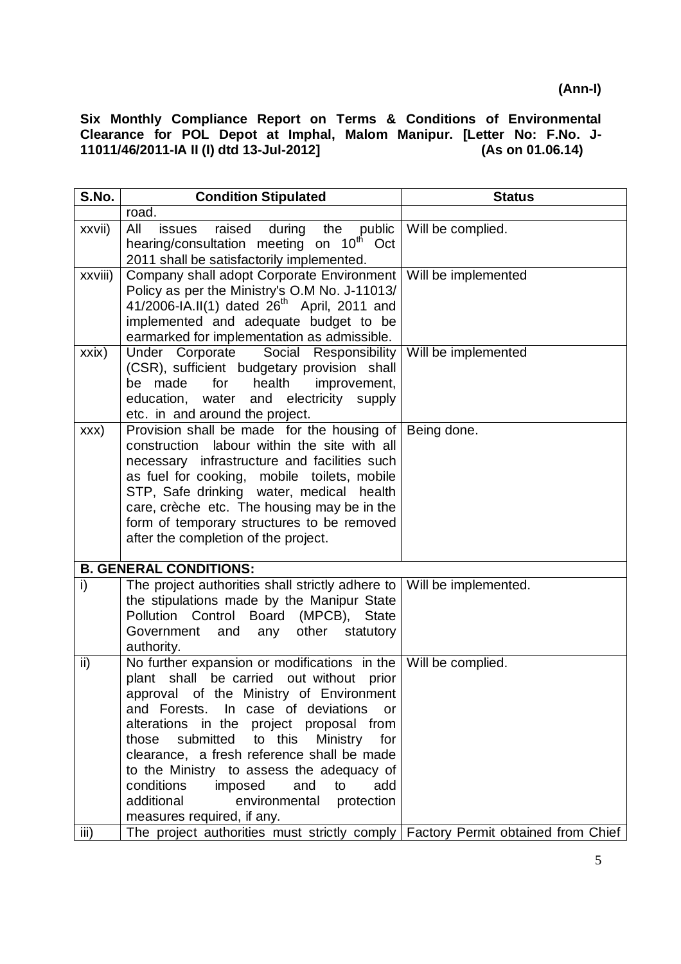| S.No.   | <b>Condition Stipulated</b>                                                                                                                                                                                                                                                                                                                                                                                                                                                                                                     | <b>Status</b>        |
|---------|---------------------------------------------------------------------------------------------------------------------------------------------------------------------------------------------------------------------------------------------------------------------------------------------------------------------------------------------------------------------------------------------------------------------------------------------------------------------------------------------------------------------------------|----------------------|
|         | road.                                                                                                                                                                                                                                                                                                                                                                                                                                                                                                                           |                      |
| xxvii)  | All<br>raised<br>during the public<br>issues<br>hearing/consultation meeting on 10 <sup>th</sup><br>Oct<br>2011 shall be satisfactorily implemented.                                                                                                                                                                                                                                                                                                                                                                            | Will be complied.    |
| xxviii) | Company shall adopt Corporate Environment<br>Policy as per the Ministry's O.M No. J-11013/<br>41/2006-IA.II(1) dated $26^{th}$ April, 2011 and<br>implemented and adequate budget to be<br>earmarked for implementation as admissible.                                                                                                                                                                                                                                                                                          | Will be implemented  |
| xxix)   | Under Corporate Social Responsibility<br>(CSR), sufficient budgetary provision shall<br>be made<br>for<br>health<br>improvement,<br>education, water and electricity supply<br>etc. in and around the project.                                                                                                                                                                                                                                                                                                                  | Will be implemented  |
| XXX)    | Provision shall be made for the housing of<br>labour within the site with all<br>construction<br>necessary infrastructure and facilities such<br>as fuel for cooking, mobile toilets, mobile<br>STP, Safe drinking water, medical health<br>care, crèche etc. The housing may be in the<br>form of temporary structures to be removed<br>after the completion of the project.                                                                                                                                                   | Being done.          |
|         | <b>B. GENERAL CONDITIONS:</b>                                                                                                                                                                                                                                                                                                                                                                                                                                                                                                   |                      |
| i)      | The project authorities shall strictly adhere to<br>the stipulations made by the Manipur State<br>Pollution Control<br><b>Board</b><br>(MPCB),<br><b>State</b><br>Government<br>and<br>other<br>statutory<br>any<br>authority.                                                                                                                                                                                                                                                                                                  | Will be implemented. |
| ii)     | No further expansion or modifications in the $\vert$ Will be complied.<br>be carried out without prior<br>plant shall<br>approval of the Ministry of Environment<br>and Forests. In case of deviations<br>or<br>alterations in the project proposal from<br>submitted<br>to this<br>Ministry<br>those<br>for<br>clearance, a fresh reference shall be made<br>to the Ministry to assess the adequacy of<br>conditions<br>imposed<br>and<br>to<br>add<br>additional<br>environmental<br>protection<br>measures required, if any. |                      |
| iii)    | The project authorities must strictly comply Factory Permit obtained from Chief                                                                                                                                                                                                                                                                                                                                                                                                                                                 |                      |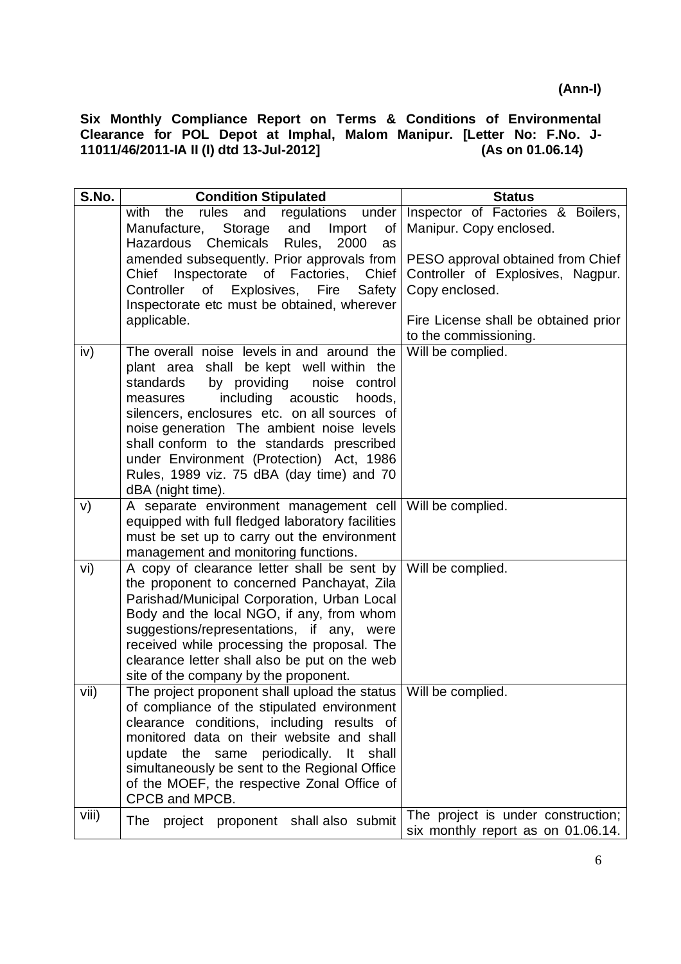| S.No. | <b>Condition Stipulated</b>                                                                  | <b>Status</b>                        |
|-------|----------------------------------------------------------------------------------------------|--------------------------------------|
|       | regulations under<br>rules<br>and<br>with the                                                | Inspector of Factories & Boilers,    |
|       | Manufacture, Storage<br>and<br>Import<br>of                                                  | Manipur. Copy enclosed.              |
|       | Chemicals<br>Rules,<br>2000<br>Hazardous<br>as<br>amended subsequently. Prior approvals from | PESO approval obtained from Chief    |
|       | Inspectorate of Factories,<br>Chief<br>Chief                                                 | Controller of Explosives, Nagpur.    |
|       | Controller of Explosives, Fire<br>Safety                                                     | Copy enclosed.                       |
|       | Inspectorate etc must be obtained, wherever                                                  |                                      |
|       | applicable.                                                                                  | Fire License shall be obtained prior |
|       |                                                                                              | to the commissioning.                |
| iv)   | The overall noise levels in and around the                                                   | Will be complied.                    |
|       | plant area shall be kept well within the                                                     |                                      |
|       | standards<br>by providing<br>noise control                                                   |                                      |
|       | including<br>acoustic<br>hoods,<br>measures<br>silencers, enclosures etc. on all sources of  |                                      |
|       | noise generation The ambient noise levels                                                    |                                      |
|       | shall conform to the standards prescribed                                                    |                                      |
|       | under Environment (Protection) Act, 1986                                                     |                                      |
|       | Rules, 1989 viz. 75 dBA (day time) and 70                                                    |                                      |
|       | dBA (night time).                                                                            |                                      |
| V)    | A separate environment management cell                                                       | Will be complied.                    |
|       | equipped with full fledged laboratory facilities                                             |                                      |
|       | must be set up to carry out the environment                                                  |                                      |
| vi)   | management and monitoring functions.<br>A copy of clearance letter shall be sent by          | Will be complied.                    |
|       | the proponent to concerned Panchayat, Zila                                                   |                                      |
|       | Parishad/Municipal Corporation, Urban Local                                                  |                                      |
|       | Body and the local NGO, if any, from whom                                                    |                                      |
|       | suggestions/representations, if any, were                                                    |                                      |
|       | received while processing the proposal. The                                                  |                                      |
|       | clearance letter shall also be put on the web                                                |                                      |
|       | site of the company by the proponent.<br>The project proponent shall upload the status       |                                      |
| vii)  | of compliance of the stipulated environment                                                  | Will be complied.                    |
|       | clearance conditions, including results of                                                   |                                      |
|       | monitored data on their website and shall                                                    |                                      |
|       | the same periodically.<br>shall<br>It<br>update                                              |                                      |
|       | simultaneously be sent to the Regional Office                                                |                                      |
|       | of the MOEF, the respective Zonal Office of                                                  |                                      |
|       | CPCB and MPCB.                                                                               |                                      |
| viii) | project proponent shall also submit<br>The                                                   | The project is under construction;   |
|       |                                                                                              | six monthly report as on 01.06.14.   |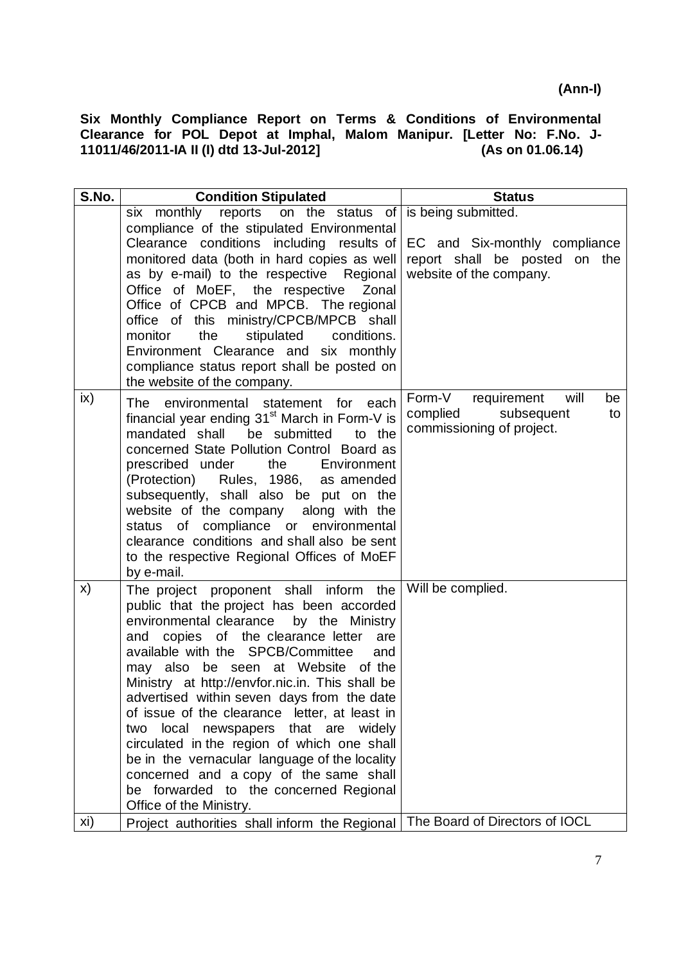| S.No. | <b>Condition Stipulated</b>                                                                                                                                                                                                                                                                                                                                                                                                                                                                                                                                                                                                                                                  | <b>Status</b>                                                                                                       |
|-------|------------------------------------------------------------------------------------------------------------------------------------------------------------------------------------------------------------------------------------------------------------------------------------------------------------------------------------------------------------------------------------------------------------------------------------------------------------------------------------------------------------------------------------------------------------------------------------------------------------------------------------------------------------------------------|---------------------------------------------------------------------------------------------------------------------|
|       | reports on the status of<br>six monthly<br>compliance of the stipulated Environmental<br>Clearance conditions including results of<br>monitored data (both in hard copies as well<br>as by e-mail) to the respective Regional<br>Office of MoEF, the respective Zonal<br>Office of CPCB and MPCB. The regional<br>office of this ministry/CPCB/MPCB shall<br>the<br>stipulated<br>monitor<br>conditions.<br>Environment Clearance and six monthly<br>compliance status report shall be posted on<br>the website of the company.                                                                                                                                              | is being submitted.<br>EC and Six-monthly compliance<br>report shall be posted<br>on the<br>website of the company. |
| ix)   | The environmental statement for<br>each<br>financial year ending 31 <sup>st</sup> March in Form-V is<br>mandated shall<br>to the<br>be submitted<br>concerned State Pollution Control Board as<br>prescribed under<br>Environment<br>the<br>(Protection) Rules, 1986, as amended<br>subsequently, shall also be put on the<br>website of the company along with the<br>compliance or environmental<br>status of<br>clearance conditions and shall also be sent<br>to the respective Regional Offices of MoEF<br>by e-mail.                                                                                                                                                   | Form-V<br>requirement<br>will<br>be<br>subsequent<br>complied<br>to<br>commissioning of project.                    |
| X)    | The project proponent shall inform the<br>public that the project has been accorded<br>environmental clearance<br>by the Ministry<br>and copies of the clearance letter<br>are<br>available with the SPCB/Committee<br>and<br>may also be seen at Website of the<br>Ministry at http://envfor.nic.in. This shall be<br>advertised within seven days from the date<br>of issue of the clearance letter, at least in<br>local newspapers that are widely<br>two<br>circulated in the region of which one shall<br>be in the vernacular language of the locality<br>concerned and a copy of the same shall<br>be forwarded to the concerned Regional<br>Office of the Ministry. | Will be complied.                                                                                                   |
| xi)   | Project authorities shall inform the Regional                                                                                                                                                                                                                                                                                                                                                                                                                                                                                                                                                                                                                                | The Board of Directors of IOCL                                                                                      |